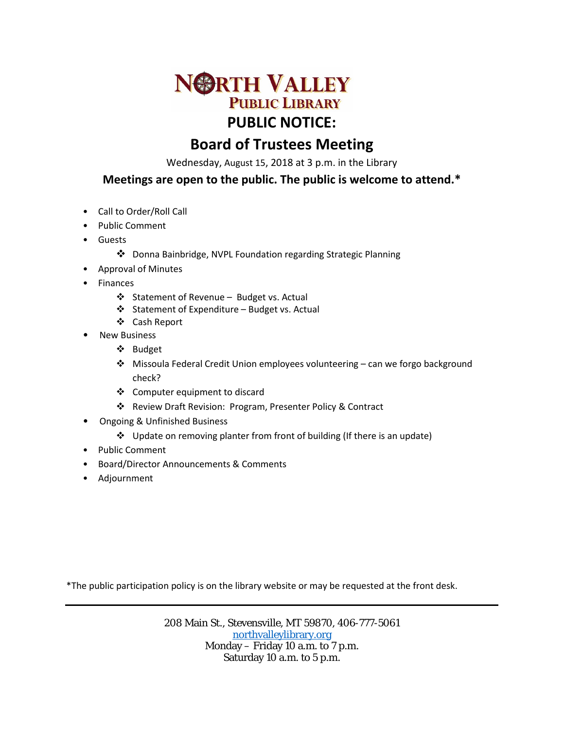

## **Board of Trustees Meeting**

Wednesday, August 15, 2018 at 3 p.m. in the Library

## **Meetings are open to the public. The public is welcome to attend.\***

- Call to Order/Roll Call
- Public Comment
- Guests
	- Donna Bainbridge, NVPL Foundation regarding Strategic Planning
- Approval of Minutes
- **Finances** 
	- ❖ Statement of Revenue Budget vs. Actual
	- Statement of Expenditure Budget vs. Actual
	- Cash Report
- **New Business** 
	- Budget
	- Missoula Federal Credit Union employees volunteering can we forgo background check?
	- Computer equipment to discard
	- Review Draft Revision: Program, Presenter Policy & Contract
- Ongoing & Unfinished Business
	- Update on removing planter from front of building (If there is an update)
- Public Comment
- Board/Director Announcements & Comments
- Adjournment

\*The public participation policy is on the library website or may be requested at the front desk.

208 Main St., Stevensville, MT 59870, 406-777-5061 [northvalleylibrary.org](http://www.northvalleylibrary.org/) Monday – Friday 10 a.m. to 7 p.m. Saturday 10 a.m. to 5 p.m.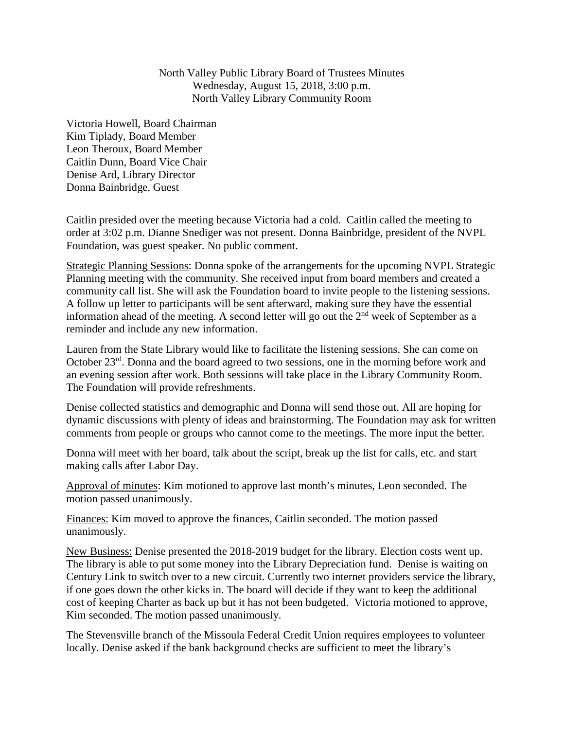North Valley Public Library Board of Trustees Minutes Wednesday, August 15, 2018, 3:00 p.m. North Valley Library Community Room

Victoria Howell, Board Chairman Kim Tiplady, Board Member Leon Theroux, Board Member Caitlin Dunn, Board Vice Chair Denise Ard, Library Director Donna Bainbridge, Guest

Caitlin presided over the meeting because Victoria had a cold. Caitlin called the meeting to order at 3:02 p.m. Dianne Snediger was not present. Donna Bainbridge, president of the NVPL Foundation, was guest speaker. No public comment.

Strategic Planning Sessions: Donna spoke of the arrangements for the upcoming NVPL Strategic Planning meeting with the community. She received input from board members and created a community call list. She will ask the Foundation board to invite people to the listening sessions. A follow up letter to participants will be sent afterward, making sure they have the essential information ahead of the meeting. A second letter will go out the  $2<sup>nd</sup>$  week of September as a reminder and include any new information.

Lauren from the State Library would like to facilitate the listening sessions. She can come on October 23rd. Donna and the board agreed to two sessions, one in the morning before work and an evening session after work. Both sessions will take place in the Library Community Room. The Foundation will provide refreshments.

Denise collected statistics and demographic and Donna will send those out. All are hoping for dynamic discussions with plenty of ideas and brainstorming. The Foundation may ask for written comments from people or groups who cannot come to the meetings. The more input the better.

Donna will meet with her board, talk about the script, break up the list for calls, etc. and start making calls after Labor Day.

Approval of minutes: Kim motioned to approve last month's minutes, Leon seconded. The motion passed unanimously.

Finances: Kim moved to approve the finances, Caitlin seconded. The motion passed unanimously.

New Business: Denise presented the 2018-2019 budget for the library. Election costs went up. The library is able to put some money into the Library Depreciation fund. Denise is waiting on Century Link to switch over to a new circuit. Currently two internet providers service the library, if one goes down the other kicks in. The board will decide if they want to keep the additional cost of keeping Charter as back up but it has not been budgeted. Victoria motioned to approve, Kim seconded. The motion passed unanimously.

The Stevensville branch of the Missoula Federal Credit Union requires employees to volunteer locally. Denise asked if the bank background checks are sufficient to meet the library's